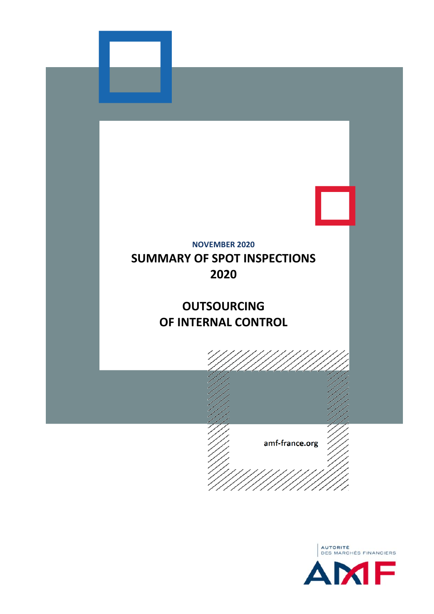

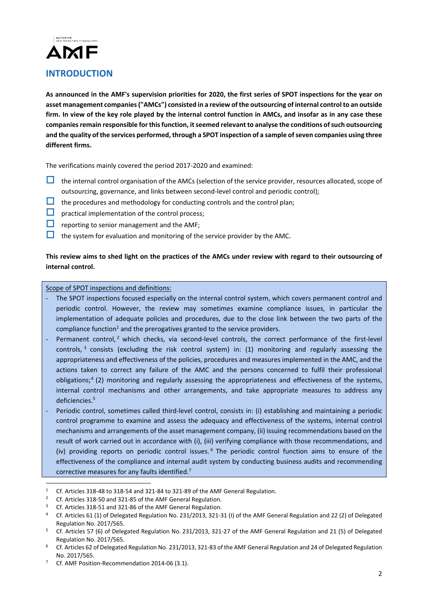

As announced in the AMF's supervision priorities for 2020, the first series of SPOT inspections for the year on **asset management companies("AMCs") consisted in a review of the outsourcing of internal controlto an outside** firm. In view of the key role played by the internal control function in AMCs, and insofar as in any case these **companiesremain responsible for thisfunction, itseemed relevant to analyse the conditions ofsuch outsourcing** and the quality of the services performed, through a SPOT inspection of a sample of seven companies using three **different firms.**

The verifications mainly covered the period 2017‐2020 and examined:

- $\Box$  the internal control organisation of the AMCs (selection of the service provider, resources allocated, scope of outsourcing, governance, and links between second-level control and periodic control);
- $\Box$  the procedures and methodology for conducting controls and the control plan;
- $\Box$  practical implementation of the control process;
- $\Box$  reporting to senior management and the AMF;
- $\Box$  the system for evaluation and monitoring of the service provider by the AMC.

# This review aims to shed light on the practices of the AMCs under review with regard to their outsourcing of **internal control.**

### Scope of SPOT inspections and definitions:

- ‐ The SPOT inspections focused especially on the internal control system, which covers permanent control and periodic control. However, the review may sometimes examine compliance issues, in particular the implementation of adequate policies and procedures, due to the close link between the two parts of the compliance function<sup>1</sup> and the prerogatives granted to the service providers.
- Permanent control,<sup>2</sup> which checks, via second-level controls, the correct performance of the first-level controls, <sup>3</sup> consists (excluding the risk control system) in: (1) monitoring and regularly assessing the appropriateness and effectiveness of the policies, procedures and measures implemented in the AMC, and the actions taken to correct any failure of the AMC and the persons concerned to fulfil their professional obligations;4 (2) monitoring and regularly assessing the appropriateness and effectiveness of the systems, internal control mechanisms and other arrangements, and take appropriate measures to address any deficiencies.5
- Periodic control, sometimes called third-level control, consists in: (i) establishing and maintaining a periodic control programme to examine and assess the adequacy and effectiveness of the systems, internal control mechanisms and arrangements of the asset management company, (ii) issuing recommendations based on the result of work carried out in accordance with (i), (iii) verifying compliance with those recommendations, and (iv) providing reports on periodic control issues.<sup>6</sup> The periodic control function aims to ensure of the effectiveness of the compliance and internal audit system by conducting business audits and recommending corrective measures for any faults identified.7

1

<sup>1</sup> Cf. Articles 318-48 to 318-54 and 321-84 to 321-89 of the AMF General Regulation.

<sup>&</sup>lt;sup>2</sup> Cf. Articles 318-50 and 321-85 of the AMF General Regulation.

<sup>3</sup> Cf. Articles 318‐51 and 321‐86 of the AMF General Regulation.

<sup>4</sup> Cf. Articles 61 (1) of Delegated Regulation No. 231/2013, 321‐31 (I) of the AMF General Regulation and 22 (2) of Delegated Regulation No. 2017/565.

<sup>5</sup> Cf. Articles 57 (6) of Delegated Regulation No. 231/2013, 321‐27 of the AMF General Regulation and 21 (5) of Delegated Regulation No. 2017/565.

<sup>6</sup> Cf. Articles 62 of Delegated Regulation No. 231/2013, 321‐83 of the AMF General Regulation and 24 of Delegated Regulation No. 2017/565.

Cf. AMF Position-Recommendation 2014-06 (3.1).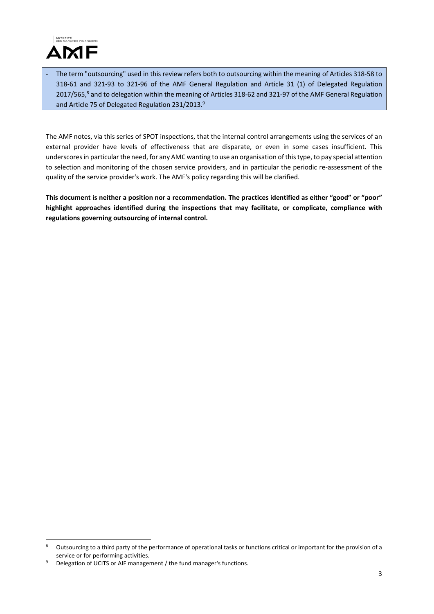

‐ The term "outsourcing" used in this review refers both to outsourcing within the meaning of Articles 318‐58 to 318‐61 and 321‐93 to 321‐96 of the AMF General Regulation and Article 31 (1) of Delegated Regulation 2017/565,<sup>8</sup> and to delegation within the meaning of Articles 318-62 and 321-97 of the AMF General Regulation and Article 75 of Delegated Regulation 231/2013.<sup>9</sup>

The AMF notes, via this series of SPOT inspections, that the internal control arrangements using the services of an external provider have levels of effectiveness that are disparate, or even in some cases insufficient. This underscores in particular the need, for any AMC wanting to use an organisation of this type, to pay special attention to selection and monitoring of the chosen service providers, and in particular the periodic re-assessment of the quality of the service provider's work. The AMF's policy regarding this will be clarified.

This document is neither a position nor a recommendation. The practices identified as either "good" or "poor" **highlight approaches identified during the inspections that may facilitate, or complicate, compliance with regulations governing outsourcing of internal control.**

1

<sup>&</sup>lt;sup>8</sup> Outsourcing to a third party of the performance of operational tasks or functions critical or important for the provision of a service or for performing activities.

Delegation of UCITS or AIF management / the fund manager's functions.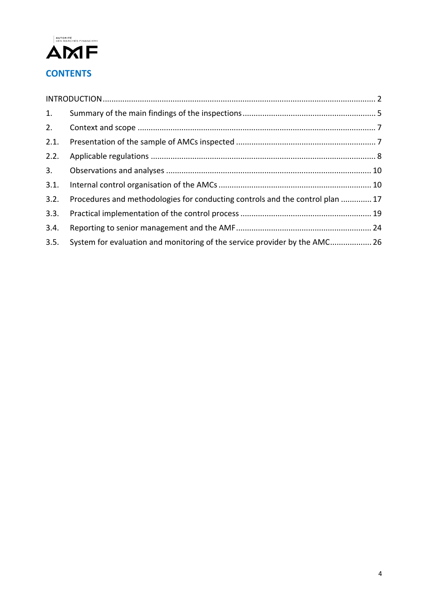

| 1.   |                                                                               |  |  |  |
|------|-------------------------------------------------------------------------------|--|--|--|
| 2.   |                                                                               |  |  |  |
| 2.1. |                                                                               |  |  |  |
| 2.2. |                                                                               |  |  |  |
| 3.   |                                                                               |  |  |  |
| 3.1. |                                                                               |  |  |  |
| 3.2. | Procedures and methodologies for conducting controls and the control plan  17 |  |  |  |
| 3.3. |                                                                               |  |  |  |
| 3.4. |                                                                               |  |  |  |
| 3.5. | System for evaluation and monitoring of the service provider by the AMC 26    |  |  |  |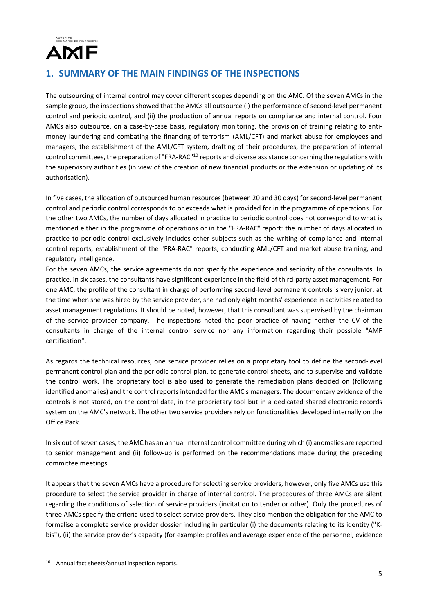

# **1. SUMMARY OF THE MAIN FINDINGS OF THE INSPECTIONS**

The outsourcing of internal control may cover different scopes depending on the AMC. Of the seven AMCs in the sample group, the inspections showed that the AMCs all outsource (i) the performance of second-level permanent control and periodic control, and (ii) the production of annual reports on compliance and internal control. Four AMCs also outsource, on a case-by-case basis, regulatory monitoring, the provision of training relating to antimoney laundering and combating the financing of terrorism (AML/CFT) and market abuse for employees and managers, the establishment of the AML/CFT system, drafting of their procedures, the preparation of internal control committees, the preparation of "FRA-RAC"<sup>10</sup> reports and diverse assistance concerning the regulations with the supervisory authorities (in view of the creation of new financial products or the extension or updating of its authorisation).

In five cases, the allocation of outsourced human resources (between 20 and 30 days) for second-level permanent control and periodic control corresponds to or exceeds what is provided for in the programme of operations. For the other two AMCs, the number of days allocated in practice to periodic control does not correspond to what is mentioned either in the programme of operations or in the "FRA‐RAC" report: the number of days allocated in practice to periodic control exclusively includes other subjects such as the writing of compliance and internal control reports, establishment of the "FRA-RAC" reports, conducting AML/CFT and market abuse training, and regulatory intelligence.

For the seven AMCs, the service agreements do not specify the experience and seniority of the consultants. In practice, in six cases, the consultants have significant experience in the field of third-party asset management. For one AMC, the profile of the consultant in charge of performing second‐level permanent controls is very junior: at the time when she was hired by the service provider, she had only eight months' experience in activities related to asset management regulations. It should be noted, however, that this consultant was supervised by the chairman of the service provider company. The inspections noted the poor practice of having neither the CV of the consultants in charge of the internal control service nor any information regarding their possible "AMF certification".

As regards the technical resources, one service provider relies on a proprietary tool to define the second-level permanent control plan and the periodic control plan, to generate control sheets, and to supervise and validate the control work. The proprietary tool is also used to generate the remediation plans decided on (following identified anomalies) and the control reports intended for the AMC's managers. The documentary evidence of the controls is not stored, on the control date, in the proprietary tool but in a dedicated shared electronic records system on the AMC's network. The other two service providers rely on functionalities developed internally on the Office Pack.

In six out of seven cases, the AMC has an annual internal control committee during which (i) anomalies are reported to senior management and (ii) follow‐up is performed on the recommendations made during the preceding committee meetings.

It appears that the seven AMCs have a procedure for selecting service providers; however, only five AMCs use this procedure to select the service provider in charge of internal control. The procedures of three AMCs are silent regarding the conditions of selection of service providers (invitation to tender or other). Only the procedures of three AMCs specify the criteria used to select service providers. They also mention the obligation for the AMC to formalise a complete service provider dossier including in particular (i) the documents relating to its identity ("K‐ bis"), (ii) the service provider's capacity (for example: profiles and average experience of the personnel, evidence

<u>.</u>

<sup>10</sup> Annual fact sheets/annual inspection reports.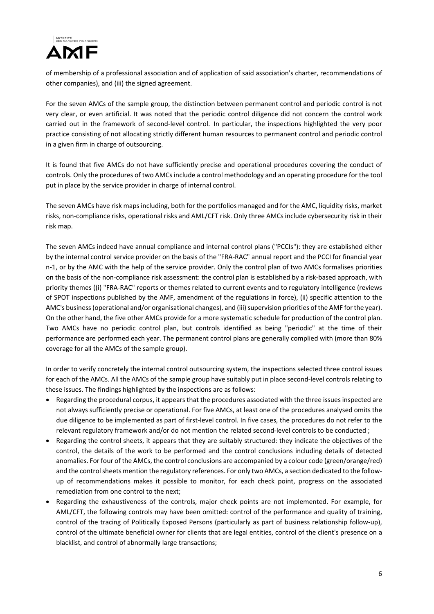

of membership of a professional association and of application of said association's charter, recommendations of other companies), and (iii) the signed agreement.

For the seven AMCs of the sample group, the distinction between permanent control and periodic control is not very clear, or even artificial. It was noted that the periodic control diligence did not concern the control work carried out in the framework of second-level control. In particular, the inspections highlighted the very poor practice consisting of not allocating strictly different human resources to permanent control and periodic control in a given firm in charge of outsourcing.

It is found that five AMCs do not have sufficiently precise and operational procedures covering the conduct of controls. Only the procedures of two AMCs include a control methodology and an operating procedure for the tool put in place by the service provider in charge of internal control.

The seven AMCs have risk maps including, both for the portfolios managed and for the AMC, liquidity risks, market risks, non‐compliance risks, operational risks and AML/CFT risk. Only three AMCs include cybersecurity risk in their risk map.

The seven AMCs indeed have annual compliance and internal control plans ("PCCIs"): they are established either by the internal control service provider on the basis of the "FRA‐RAC" annual report and the PCCI for financial year n-1, or by the AMC with the help of the service provider. Only the control plan of two AMCs formalises priorities on the basis of the non-compliance risk assessment: the control plan is established by a risk-based approach, with priority themes ((i) "FRA‐RAC" reports or themes related to current events and to regulatory intelligence (reviews of SPOT inspections published by the AMF, amendment of the regulations in force), (ii) specific attention to the AMC's business (operational and/or organisational changes), and (iii) supervision priorities of the AMF for the year). On the other hand, the five other AMCs provide for a more systematic schedule for production of the control plan. Two AMCs have no periodic control plan, but controls identified as being "periodic" at the time of their performance are performed each year. The permanent control plans are generally complied with (more than 80% coverage for all the AMCs of the sample group).

In order to verify concretely the internal control outsourcing system, the inspections selected three control issues for each of the AMCs. All the AMCs of the sample group have suitably put in place second-level controls relating to these issues. The findings highlighted by the inspections are as follows:

- Regarding the procedural corpus, it appears that the procedures associated with the three issues inspected are not always sufficiently precise or operational. For five AMCs, at least one of the procedures analysed omits the due diligence to be implemented as part of first-level control. In five cases, the procedures do not refer to the relevant regulatory framework and/or do not mention the related second-level controls to be conducted ;
- Regarding the control sheets, it appears that they are suitably structured: they indicate the objectives of the control, the details of the work to be performed and the control conclusions including details of detected anomalies. For four of the AMCs, the control conclusions are accompanied by a colour code (green/orange/red) and the control sheets mention the regulatory references. For only two AMCs, a section dedicated to the followup of recommendations makes it possible to monitor, for each check point, progress on the associated remediation from one control to the next;
- Regarding the exhaustiveness of the controls, major check points are not implemented. For example, for AML/CFT, the following controls may have been omitted: control of the performance and quality of training, control of the tracing of Politically Exposed Persons (particularly as part of business relationship follow-up), control of the ultimate beneficial owner for clients that are legal entities, control of the client's presence on a blacklist, and control of abnormally large transactions;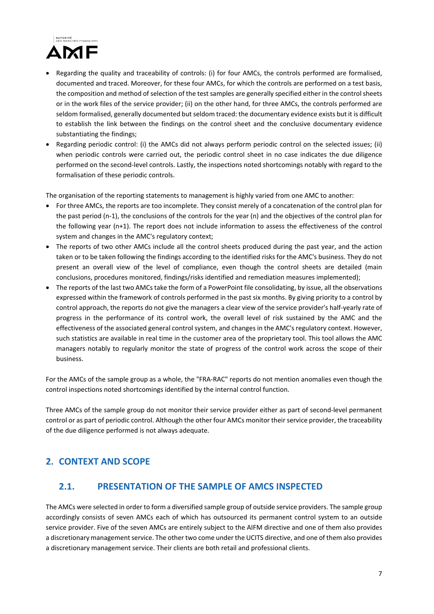

- Regarding the quality and traceability of controls: (i) for four AMCs, the controls performed are formalised, documented and traced. Moreover, for these four AMCs, for which the controls are performed on a test basis, the composition and method of selection of the test samples are generally specified either in the control sheets or in the work files of the service provider; (ii) on the other hand, for three AMCs, the controls performed are seldom formalised, generally documented but seldom traced: the documentary evidence exists but it is difficult to establish the link between the findings on the control sheet and the conclusive documentary evidence substantiating the findings;
- Regarding periodic control: (i) the AMCs did not always perform periodic control on the selected issues; (ii) when periodic controls were carried out, the periodic control sheet in no case indicates the due diligence performed on the second-level controls. Lastly, the inspections noted shortcomings notably with regard to the formalisation of these periodic controls.

The organisation of the reporting statements to management is highly varied from one AMC to another:

- For three AMCs, the reports are too incomplete. They consist merely of a concatenation of the control plan for the past period (n‐1), the conclusions of the controls for the year (n) and the objectives of the control plan for the following year (n+1). The report does not include information to assess the effectiveness of the control system and changes in the AMC's regulatory context;
- The reports of two other AMCs include all the control sheets produced during the past year, and the action taken or to be taken following the findings according to the identified risks for the AMC's business. They do not present an overall view of the level of compliance, even though the control sheets are detailed (main conclusions, procedures monitored, findings/risks identified and remediation measures implemented);
- The reports of the last two AMCs take the form of a PowerPoint file consolidating, by issue, all the observations expressed within the framework of controls performed in the past six months. By giving priority to a control by control approach, the reports do not give the managers a clear view of the service provider's half-yearly rate of progress in the performance of its control work, the overall level of risk sustained by the AMC and the effectiveness of the associated general control system, and changes in the AMC's regulatory context. However, such statistics are available in real time in the customer area of the proprietary tool. This tool allows the AMC managers notably to regularly monitor the state of progress of the control work across the scope of their business.

For the AMCs of the sample group as a whole, the "FRA-RAC" reports do not mention anomalies even though the control inspections noted shortcomings identified by the internal control function.

Three AMCs of the sample group do not monitor their service provider either as part of second‐level permanent control or as part of periodic control. Although the other four AMCs monitor their service provider, the traceability of the due diligence performed is not always adequate.

# **2. CONTEXT AND SCOPE**

# **2.1. PRESENTATION OF THE SAMPLE OF AMCS INSPECTED**

The AMCs were selected in order to form a diversified sample group of outside service providers. The sample group accordingly consists of seven AMCs each of which has outsourced its permanent control system to an outside service provider. Five of the seven AMCs are entirely subject to the AIFM directive and one of them also provides a discretionary management service. The other two come under the UCITS directive, and one of them also provides a discretionary management service. Their clients are both retail and professional clients.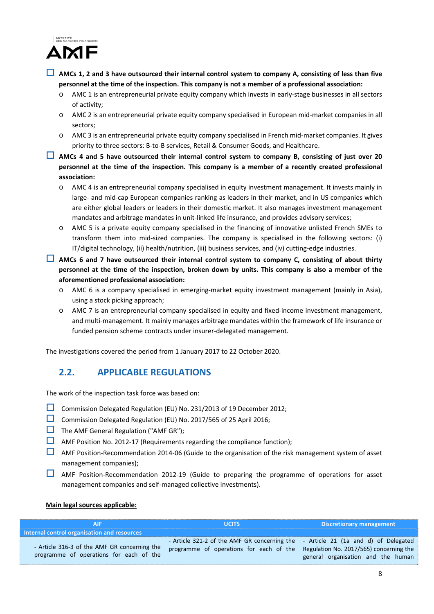

- $\Box$  AMCs 1, 2 and 3 have outsourced their internal control system to company A, consisting of less than five **personnel at the time of the inspection. This company is not a member of a professional association:**
	- o AMC 1 is an entrepreneurial private equity company which invests in early‐stage businesses in all sectors of activity;
	- o AMC 2 is an entrepreneurial private equity company specialised in European mid‐market companies in all sectors;
	- o AMC 3 is an entrepreneurial private equity company specialised in French mid‐market companies. It gives priority to three sectors: B‐to‐B services, Retail & Consumer Goods, and Healthcare.
- $\Box$  AMCs 4 and 5 have outsourced their internal control system to company B, consisting of just over 20 **personnel at the time of the inspection. This company is a member of a recently created professional association:**
	- o AMC 4 is an entrepreneurial company specialised in equity investment management. It invests mainly in large- and mid-cap European companies ranking as leaders in their market, and in US companies which are either global leaders or leaders in their domestic market. It also manages investment management mandates and arbitrage mandates in unit-linked life insurance, and provides advisory services;
	- o AMC 5 is a private equity company specialised in the financing of innovative unlisted French SMEs to transform them into mid‐sized companies. The company is specialised in the following sectors: (i) IT/digital technology, (ii) health/nutrition, (iii) business services, and (iv) cutting‐edge industries.
- **AMCs 6 and 7 have outsourced their internal control system to company C, consisting of about thirty** personnel at the time of the inspection, broken down by units. This company is also a member of the **aforementioned professional association:**
	- o AMC 6 is a company specialised in emerging‐market equity investment management (mainly in Asia), using a stock picking approach;
	- o AMC 7 is an entrepreneurial company specialised in equity and fixed‐income investment management, and multi-management. It mainly manages arbitrage mandates within the framework of life insurance or funded pension scheme contracts under insurer‐delegated management.

The investigations covered the period from 1 January 2017 to 22 October 2020.

# **2.2. APPLICABLE REGULATIONS**

The work of the inspection task force was based on:

- Commission Delegated Regulation (EU) No. 231/2013 of 19 December 2012;
- Commission Delegated Regulation (EU) No. 2017/565 of 25 April 2016;
- $\Box$  The AMF General Regulation ("AMF GR");
- AMF Position No. 2012-17 (Requirements regarding the compliance function);
- AMF Position-Recommendation 2014-06 (Guide to the organisation of the risk management system of asset management companies);
- AMF Position-Recommendation 2012-19 (Guide to preparing the programme of operations for asset management companies and self‐managed collective investments).

### **Main legal sources applicable:**

|                                                                                         | <b>UCITS</b>                                                                                                                                                         | Discretionary management           |  |  |  |  |
|-----------------------------------------------------------------------------------------|----------------------------------------------------------------------------------------------------------------------------------------------------------------------|------------------------------------|--|--|--|--|
| Internal control organisation and resources                                             |                                                                                                                                                                      |                                    |  |  |  |  |
| - Article 316-3 of the AMF GR concerning the<br>programme of operations for each of the | - Article 321-2 of the AMF GR concerning the - Article 21 (1a and d) of Delegated<br>programme of operations for each of the Regulation No. 2017/565) concerning the | general organisation and the human |  |  |  |  |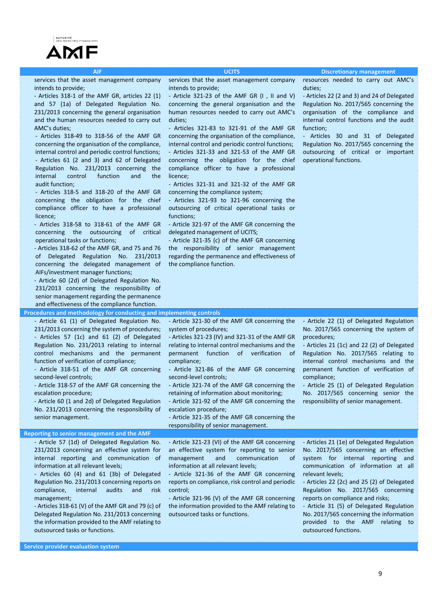#### **AIF UCITS Discretionary management**

services that the asset management company intends to provide;

‐ Articles 318‐1 of the AMF GR, articles 22 (1) and 57 (1a) of Delegated Regulation No. 231/2013 concerning the general organisation and the human resources needed to carry out AMC's duties;

‐ Articles 318‐49 to 318‐56 of the AMF GR concerning the organisation of the compliance, internal control and periodic control functions; ‐ Articles 61 (2 and 3) and 62 of Delegated Regulation No. 231/2013 concerning the internal control function and the audit function;

‐ Articles 318‐5 and 318‐20 of the AMF GR concerning the obligation for the chief compliance officer to have a professional licence;

‐ Articles 318‐58 to 318‐61 of the AMF GR concerning the outsourcing of critical operational tasks or functions;

‐ Articles 318‐62 of the AMF GR, and 75 and 76 of Delegated Regulation No. 231/2013 concerning the delegated management of AIFs/investment manager functions;

‐ Article 60 (2d) of Delegated Regulation No. 231/2013 concerning the responsibility of senior management regarding the permanence and effectiveness of the compliance function.

services that the asset management company intends to provide;

‐ Article 321‐23 of the AMF GR (I , II and V) concerning the general organisation and the human resources needed to carry out AMC's duties;

‐ Articles 321‐83 to 321‐91 of the AMF GR concerning the organisation of the compliance, internal control and periodic control functions;

‐ Articles 321‐33 and 321‐53 of the AMF GR concerning the obligation for the chief compliance officer to have a professional licence;

‐ Articles 321‐31 and 321‐32 of the AMF GR concerning the compliance system;

‐ Articles 321‐93 to 321‐96 concerning the outsourcing of critical operational tasks or functions;

‐ Article 321‐97 of the AMF GR concerning the delegated management of UCITS;

‐ Article 321‐35 (c) of the AMF GR concerning the responsibility of senior management regarding the permanence and effectiveness of the compliance function.

resources needed to carry out AMC's duties;

‐ Articles 22 (2 and 3) and 24 of Delegated Regulation No. 2017/565 concerning the organisation of the compliance and internal control functions and the audit function;

Articles 30 and 31 of Delegated Regulation No. 2017/565 concerning the outsourcing of critical or important operational functions.

**Procedures and methodology for conducting and implementing controls** ‐ Article 61 (1) of Delegated Regulation No. 231/2013 concerning the system of procedures; ‐ Articles 57 (1c) and 61 (2) of Delegated Regulation No. 231/2013 relating to internal control mechanisms and the permanent function of verification of compliance; ‐ Article 318‐51 of the AMF GR concerning second-level controls; ‐ Article 318‐57 of the AMF GR concerning the escalation procedure; ‐ Article 60 (1 and 2d) of Delegated Regulation No. 231/2013 concerning the responsibility of senior management. ‐ Article 321‐30 of the AMF GR concerning the system of procedures; ‐ Articles 321‐23 (IV) and 321‐31 of the AMF GR relating to internal control mechanisms and the permanent function of verification of compliance; ‐ Article 321‐86 of the AMF GR concerning second‐level controls; ‐ Article 321‐74 of the AMF GR concerning the retaining of information about monitoring; ‐ Article 321‐92 of the AMF GR concerning the escalation procedure; ‐ Article 321‐35 of the AMF GR concerning the responsibility of senior management. ‐ Article 22 (1) of Delegated Regulation No. 2017/565 concerning the system of procedures; ‐ Articles 21 (1c) and 22 (2) of Delegated Regulation No. 2017/565 relating to internal control mechanisms and the permanent function of verification of compliance; ‐ Article 25 (1) of Delegated Regulation No. 2017/565 concerning senior the responsibility of senior management. **Reporting to senior management and the AMF** ‐ Article 57 (1d) of Delegated Regulation No. 231/2013 concerning an effective system for internal reporting and communication of information at all relevant levels; ‐ Article 321‐23 (VI) of the AMF GR concerning an effective system for reporting to senior management and communication of ‐ Articles 21 (1e) of Delegated Regulation No. 2017/565 concerning an effective system for internal reporting and

‐ Articles 60 (4) and 61 (3b) of Delegated Regulation No. 231/2013 concerning reports on compliance, internal audits and risk management;

‐ Articles 318‐61 (V) of the AMF GR and 79 (c) of Delegated Regulation No. 231/2013 concerning the information provided to the AMF relating to outsourced tasks or functions.

information at all relevant levels;

‐ Article 321‐36 of the AMF GR concerning reports on compliance, risk control and periodic control;

‐ Article 321‐96 (V) of the AMF GR concerning the information provided to the AMF relating to outsourced tasks or functions.

communication of information at all relevant levels;

‐ Articles 22 (2c) and 25 (2) of Delegated Regulation No. 2017/565 concerning reports on compliance and risks;

‐ Article 31 (5) of Delegated Regulation No. 2017/565 concerning the information provided to the AMF relating to outsourced functions.

**Service provider evaluation system**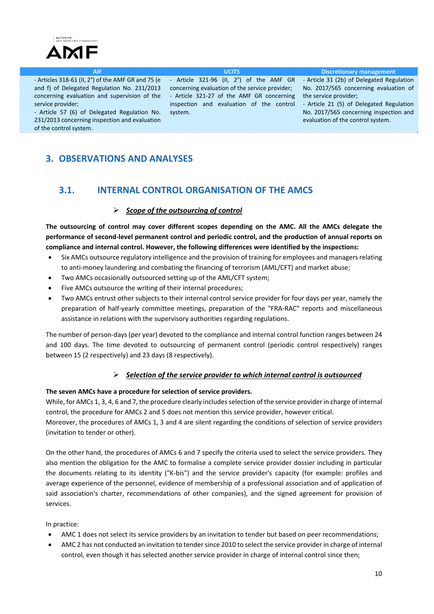



# **3. OBSERVATIONS AND ANALYSES**

# **3.1. INTERNAL CONTROL ORGANISATION OF THE AMCS**

## *Scope of the outsourcing of control*

**The outsourcing of control may cover different scopes depending on the AMC. All the AMCs delegate the** performance of second-level permanent control and periodic control, and the production of annual reports on **compliance and internal control. However, the following differences were identified by the inspections:**

- Six AMCs outsource regulatory intelligence and the provision of training for employees and managersrelating to anti-money laundering and combating the financing of terrorism (AML/CFT) and market abuse;
- Two AMCs occasionally outsourced setting up of the AML/CFT system;
- Five AMCs outsource the writing of their internal procedures;
- Two AMCs entrust other subjects to their internal control service provider for four days per year, namely the preparation of half-yearly committee meetings, preparation of the "FRA-RAC" reports and miscellaneous assistance in relations with the supervisory authorities regarding regulations.

The number of person‐days (per year) devoted to the compliance and internal control function ranges between 24 and 100 days. The time devoted to outsourcing of permanent control (periodic control respectively) ranges between 15 (2 respectively) and 23 days (8 respectively).

## *Selection of the service provider to which internal control is outsourced*

### **The seven AMCs have a procedure for selection of service providers.**

While, for AMCs 1, 3, 4, 6 and 7, the procedure clearly includes selection of the service provider in charge of internal control, the procedure for AMCs 2 and 5 does not mention this service provider, however critical.

Moreover, the procedures of AMCs 1, 3 and 4 are silent regarding the conditions of selection of service providers (invitation to tender or other).

On the other hand, the procedures of AMCs 6 and 7 specify the criteria used to select the service providers. They also mention the obligation for the AMC to formalise a complete service provider dossier including in particular the documents relating to its identity ("K‐bis") and the service provider's capacity (for example: profiles and average experience of the personnel, evidence of membership of a professional association and of application of said association's charter, recommendations of other companies), and the signed agreement for provision of services.

In practice:

- AMC 1 does not select its service providers by an invitation to tender but based on peer recommendations;
- AMC 2 has not conducted an invitation to tender since 2010 to select the service provider in charge of internal control, even though it has selected another service provider in charge of internal control since then;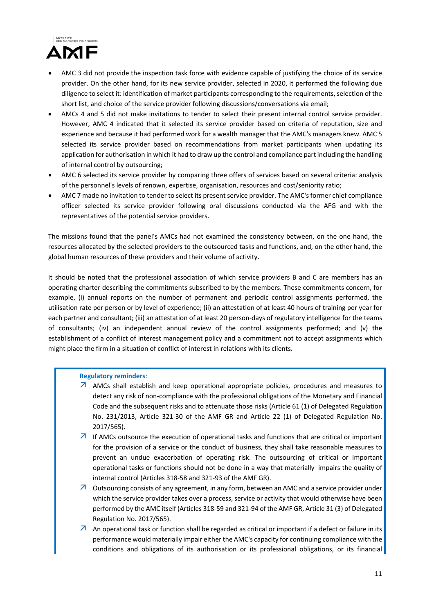

- AMC 3 did not provide the inspection task force with evidence capable of justifying the choice of its service provider. On the other hand, for its new service provider, selected in 2020, it performed the following due diligence to select it: identification of market participants corresponding to the requirements, selection of the short list, and choice of the service provider following discussions/conversations via email;
- AMCs 4 and 5 did not make invitations to tender to select their present internal control service provider. However, AMC 4 indicated that it selected its service provider based on criteria of reputation, size and experience and because it had performed work for a wealth manager that the AMC's managers knew. AMC 5 selected its service provider based on recommendations from market participants when updating its application for authorisation in which it had to draw up the control and compliance part including the handling of internal control by outsourcing;
- AMC 6 selected its service provider by comparing three offers of services based on several criteria: analysis of the personnel's levels of renown, expertise, organisation, resources and cost/seniority ratio;
- AMC 7 made no invitation to tender to select its present service provider. The AMC's former chief compliance officer selected its service provider following oral discussions conducted via the AFG and with the representatives of the potential service providers.

The missions found that the panel's AMCs had not examined the consistency between, on the one hand, the resources allocated by the selected providers to the outsourced tasks and functions, and, on the other hand, the global human resources of these providers and their volume of activity.

It should be noted that the professional association of which service providers B and C are members has an operating charter describing the commitments subscribed to by the members. These commitments concern, for example, (i) annual reports on the number of permanent and periodic control assignments performed, the utilisation rate per person or by level of experience; (ii) an attestation of at least 40 hours of training per year for each partner and consultant; (iii) an attestation of at least 20 person-days of regulatory intelligence for the teams of consultants; (iv) an independent annual review of the control assignments performed; and (v) the establishment of a conflict of interest management policy and a commitment not to accept assignments which might place the firm in a situation of conflict of interest in relations with its clients.

### **Regulatory reminders**:

- AMCs shall establish and keep operational appropriate policies, procedures and measures to detect any risk of non‐compliance with the professional obligations of the Monetary and Financial Code and the subsequent risks and to attenuate those risks (Article 61 (1) of Delegated Regulation No. 231/2013, Article 321‐30 of the AMF GR and Article 22 (1) of Delegated Regulation No. 2017/565).
- $\overline{\phantom{a}}$  If AMCs outsource the execution of operational tasks and functions that are critical or important for the provision of a service or the conduct of business, they shall take reasonable measures to prevent an undue exacerbation of operating risk. The outsourcing of critical or important operational tasks or functions should not be done in a way that materially impairs the quality of internal control (Articles 318‐58 and 321‐93 of the AMF GR).
- **7** Outsourcing consists of any agreement, in any form, between an AMC and a service provider under which the service provider takes over a process, service or activity that would otherwise have been performed by the AMC itself (Articles 318‐59 and 321‐94 of the AMF GR, Article 31 (3) of Delegated Regulation No. 2017/565).
- $\overline{\phantom{a}}$  An operational task or function shall be regarded as critical or important if a defect or failure in its performance would materially impair either the AMC's capacity for continuing compliance with the conditions and obligations of its authorisation or its professional obligations, or its financial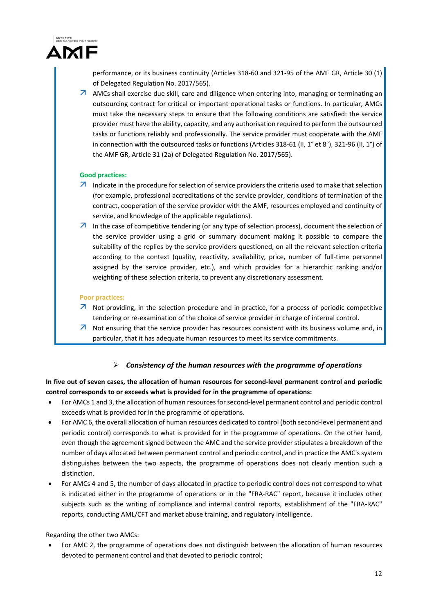

performance, or its business continuity (Articles 318‐60 and 321‐95 of the AMF GR, Article 30 (1) of Delegated Regulation No. 2017/565).

 $\overline{\mathcal{A}}$  AMCs shall exercise due skill, care and diligence when entering into, managing or terminating an outsourcing contract for critical or important operational tasks or functions. In particular, AMCs must take the necessary steps to ensure that the following conditions are satisfied: the service provider must have the ability, capacity, and any authorisation required to perform the outsourced tasks or functions reliably and professionally. The service provider must cooperate with the AMF in connection with the outsourced tasks or functions (Articles 318-61 (II, 1° et 8°), 321-96 (II, 1°) of the AMF GR, Article 31 (2a) of Delegated Regulation No. 2017/565).

### **Good practices:**

- $\overline{\phantom{a}}$  Indicate in the procedure for selection of service providers the criteria used to make that selection (for example, professional accreditations of the service provider, conditions of termination of the contract, cooperation of the service provider with the AMF, resources employed and continuity of service, and knowledge of the applicable regulations).
- $\overline{\mathcal{A}}$  In the case of competitive tendering (or any type of selection process), document the selection of the service provider using a grid or summary document making it possible to compare the suitability of the replies by the service providers questioned, on all the relevant selection criteria according to the context (quality, reactivity, availability, price, number of full-time personnel assigned by the service provider, etc.), and which provides for a hierarchic ranking and/or weighting of these selection criteria, to prevent any discretionary assessment.

### **Poor practices:**

- $\overline{\phantom{a}}$  Not providing, in the selection procedure and in practice, for a process of periodic competitive tendering or re‐examination of the choice of service provider in charge of internal control.
- $\overline{\mathbf{A}}$  Not ensuring that the service provider has resources consistent with its business volume and, in particular, that it has adequate human resources to meet its service commitments.

## *Consistency of the human resources with the programme of operations*

In five out of seven cases, the allocation of human resources for second-level permanent control and periodic **control corresponds to or exceeds what is provided for in the programme of operations:** 

- For AMCs 1 and 3, the allocation of human resources for second-level permanent control and periodic control exceeds what is provided for in the programme of operations.
- For AMC 6, the overall allocation of human resources dedicated to control (both second-level permanent and periodic control) corresponds to what is provided for in the programme of operations. On the other hand, even though the agreement signed between the AMC and the service provider stipulates a breakdown of the number of days allocated between permanent control and periodic control, and in practice the AMC's system distinguishes between the two aspects, the programme of operations does not clearly mention such a distinction.
- For AMCs 4 and 5, the number of days allocated in practice to periodic control does not correspond to what is indicated either in the programme of operations or in the "FRA‐RAC" report, because it includes other subjects such as the writing of compliance and internal control reports, establishment of the "FRA-RAC" reports, conducting AML/CFT and market abuse training, and regulatory intelligence.

### Regarding the other two AMCs:

 For AMC 2, the programme of operations does not distinguish between the allocation of human resources devoted to permanent control and that devoted to periodic control;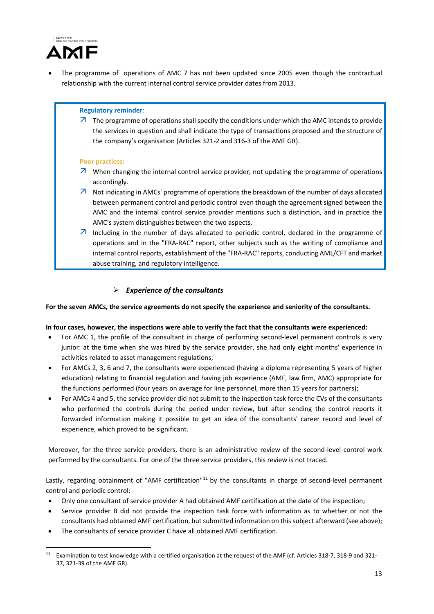

 The programme of operations of AMC 7 has not been updated since 2005 even though the contractual relationship with the current internal control service provider dates from 2013.

### **Regulatory reminder**:

 $\overline{A}$  The programme of operations shall specify the conditions under which the AMC intends to provide the services in question and shall indicate the type of transactions proposed and the structure of the company's organisation (Articles 321‐2 and 316‐3 of the AMF GR).

### **Poor practices:**

- $\overline{\mathcal{A}}$  When changing the internal control service provider, not updating the programme of operations accordingly.
- $\overline{\mathcal{A}}$  Not indicating in AMCs' programme of operations the breakdown of the number of days allocated between permanent control and periodic control even though the agreement signed between the AMC and the internal control service provider mentions such a distinction, and in practice the AMC's system distinguishes between the two aspects.
- $\overline{\phantom{a}}$  Including in the number of days allocated to periodic control, declared in the programme of operations and in the "FRA‐RAC" report, other subjects such as the writing of compliance and internal control reports, establishment of the "FRA-RAC" reports, conducting AML/CFT and market abuse training, and regulatory intelligence.

## *Experience of the consultants*

For the seven AMCs, the service agreements do not specify the experience and seniority of the consultants.

### In four cases, however, the inspections were able to verify the fact that the consultants were experienced:

- For AMC 1, the profile of the consultant in charge of performing second-level permanent controls is very junior: at the time when she was hired by the service provider, she had only eight months' experience in activities related to asset management regulations;
- For AMCs 2, 3, 6 and 7, the consultants were experienced (having a diploma representing 5 years of higher education) relating to financial regulation and having job experience (AMF, law firm, AMC) appropriate for the functions performed (four years on average for line personnel, more than 15 years for partners);
- For AMCs 4 and 5, the service provider did not submit to the inspection task force the CVs of the consultants who performed the controls during the period under review, but after sending the control reports it forwarded information making it possible to get an idea of the consultants' career record and level of experience, which proved to be significant.

Moreover, for the three service providers, there is an administrative review of the second-level control work performed by the consultants. For one of the three service providers, this review is not traced.

Lastly, regarding obtainment of "AMF certification"<sup>11</sup> by the consultants in charge of second-level permanent control and periodic control:

- Only one consultant of service provider A had obtained AMF certification at the date of the inspection;
- Service provider B did not provide the inspection task force with information as to whether or not the consultants had obtained AMF certification, but submitted information on this subject afterward (see above);
- The consultants of service provider C have all obtained AMF certification.

1

<sup>11</sup> Examination to test knowledge with a certified organisation at the request of the AMF (cf. Articles 318-7, 318-9 and 321-37, 321‐39 of the AMF GR).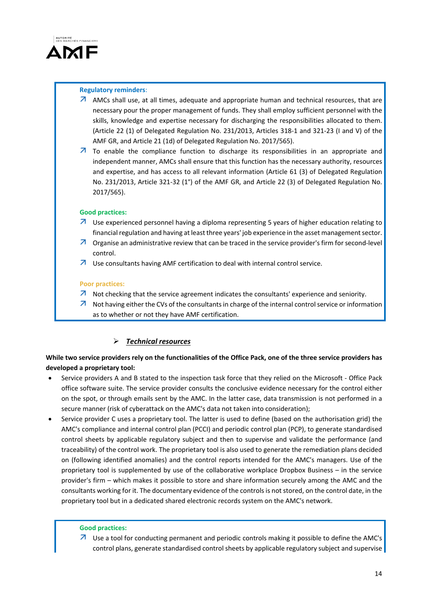

### **Regulatory reminders**:

- $\overline{A}$  AMCs shall use, at all times, adequate and appropriate human and technical resources, that are necessary pour the proper management of funds. They shall employ sufficient personnel with the skills, knowledge and expertise necessary for discharging the responsibilities allocated to them. (Article 22 (1) of Delegated Regulation No. 231/2013, Articles 318‐1 and 321‐23 (I and V) of the AMF GR, and Article 21 (1d) of Delegated Regulation No. 2017/565).
- $\overline{z}$  To enable the compliance function to discharge its responsibilities in an appropriate and independent manner, AMCs shall ensure that this function has the necessary authority, resources and expertise, and has access to all relevant information (Article 61 (3) of Delegated Regulation No. 231/2013, Article 321-32 (1°) of the AMF GR, and Article 22 (3) of Delegated Regulation No. 2017/565).

### **Good practices:**

- $\overline{\phantom{a}}$  Use experienced personnel having a diploma representing 5 years of higher education relating to financial regulation and having at least three years' job experience in the asset management sector.
- Organise an administrative review that can be traced in the service provider's firm for second‐level control.
- $\lambda$  Use consultants having AMF certification to deal with internal control service.

### **Poor practices:**

- $\overline{\mathcal{A}}$  Not checking that the service agreement indicates the consultants' experience and seniority.
- $\overline{\phantom{a}}$  Not having either the CVs of the consultants in charge of the internal control service or information as to whether or not they have AMF certification.

## *Technical resources*

# While two service providers rely on the functionalities of the Office Pack, one of the three service providers has **developed a proprietary tool:**

- Service providers A and B stated to the inspection task force that they relied on the Microsoft ‐ Office Pack office software suite. The service provider consults the conclusive evidence necessary for the control either on the spot, or through emails sent by the AMC. In the latter case, data transmission is not performed in a secure manner (risk of cyberattack on the AMC's data not taken into consideration);
- Service provider C uses a proprietary tool. The latter is used to define (based on the authorisation grid) the AMC's compliance and internal control plan (PCCI) and periodic control plan (PCP), to generate standardised control sheets by applicable regulatory subject and then to supervise and validate the performance (and traceability) of the control work. The proprietary tool is also used to generate the remediation plans decided on (following identified anomalies) and the control reports intended for the AMC's managers. Use of the proprietary tool is supplemented by use of the collaborative workplace Dropbox Business – in the service provider's firm – which makes it possible to store and share information securely among the AMC and the consultants working for it. The documentary evidence of the controls is not stored, on the control date, in the proprietary tool but in a dedicated shared electronic records system on the AMC's network.

### **Good practices:**

7 Use a tool for conducting permanent and periodic controls making it possible to define the AMC's control plans, generate standardised control sheets by applicable regulatory subject and supervise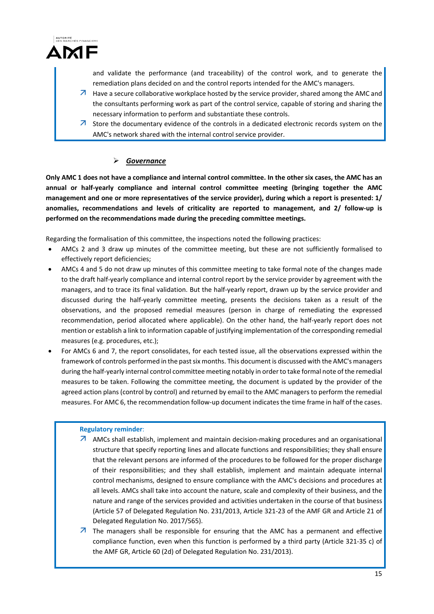

and validate the performance (and traceability) of the control work, and to generate the remediation plans decided on and the control reports intended for the AMC's managers.

- $\overline{\phantom{a}}$  Have a secure collaborative workplace hosted by the service provider, shared among the AMC and the consultants performing work as part of the control service, capable of storing and sharing the necessary information to perform and substantiate these controls.
- $\overline{\phantom{a}}$  Store the documentary evidence of the controls in a dedicated electronic records system on the AMC's network shared with the internal control service provider.

# *Governance*

Only AMC 1 does not have a compliance and internal control committee. In the other six cases, the AMC has an **annual or half‐yearly compliance and internal control committee meeting (bringing together the AMC** management and one or more representatives of the service provider), during which a report is presented: 1/ **anomalies, recommendations and levels of criticality are reported to management, and 2/ follow‐up is performed on the recommendations made during the preceding committee meetings.** 

Regarding the formalisation of this committee, the inspections noted the following practices:

- AMCs 2 and 3 draw up minutes of the committee meeting, but these are not sufficiently formalised to effectively report deficiencies;
- AMCs 4 and 5 do not draw up minutes of this committee meeting to take formal note of the changes made to the draft half‐yearly compliance and internal control report by the service provider by agreement with the managers, and to trace its final validation. But the half‐yearly report, drawn up by the service provider and discussed during the half‐yearly committee meeting, presents the decisions taken as a result of the observations, and the proposed remedial measures (person in charge of remediating the expressed recommendation, period allocated where applicable). On the other hand, the half‐yearly report does not mention or establish a link to information capable of justifying implementation of the corresponding remedial measures (e.g. procedures, etc.);
- For AMCs 6 and 7, the report consolidates, for each tested issue, all the observations expressed within the framework of controls performed in the pastsix months. This document is discussed with the AMC's managers during the half‐yearly internal control committee meeting notably in orderto take formal note of the remedial measures to be taken. Following the committee meeting, the document is updated by the provider of the agreed action plans (control by control) and returned by email to the AMC managers to perform the remedial measures. For AMC 6, the recommendation follow-up document indicates the time frame in half of the cases.

### **Regulatory reminder**:

- AMCs shall establish, implement and maintain decision‐making procedures and an organisational structure that specify reporting lines and allocate functions and responsibilities; they shall ensure that the relevant persons are informed of the procedures to be followed for the proper discharge of their responsibilities; and they shall establish, implement and maintain adequate internal control mechanisms, designed to ensure compliance with the AMC's decisions and procedures at all levels. AMCs shall take into account the nature, scale and complexity of their business, and the nature and range of the services provided and activities undertaken in the course of that business (Article 57 of Delegated Regulation No. 231/2013, Article 321‐23 of the AMF GR and Article 21 of Delegated Regulation No. 2017/565).
- $\overline{\phantom{a}}$  The managers shall be responsible for ensuring that the AMC has a permanent and effective compliance function, even when this function is performed by a third party (Article 321‐35 c) of the AMF GR, Article 60 (2d) of Delegated Regulation No. 231/2013).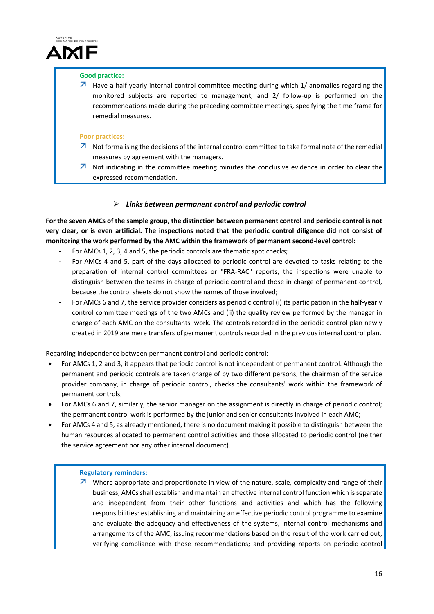

### **Good practice:**

 $\overline{\mathcal{A}}$  Have a half-yearly internal control committee meeting during which 1/ anomalies regarding the monitored subjects are reported to management, and 2/ follow‐up is performed on the recommendations made during the preceding committee meetings, specifying the time frame for remedial measures.

### **Poor practices:**

- $\overline{\phantom{a}}$  Not formalising the decisions of the internal control committee to take formal note of the remedial measures by agreement with the managers.
- $\overline{\phantom{a}}$  Not indicating in the committee meeting minutes the conclusive evidence in order to clear the expressed recommendation.

### *Links between permanent control and periodic control*

For the seven AMCs of the sample group, the distinction between permanent control and periodic control is not very clear, or is even artificial. The inspections noted that the periodic control diligence did not consist of **monitoring the work performed by the AMC within the framework of permanent second‐level control:** 

- **‐** For AMCs 1, 2, 3, 4 and 5, the periodic controls are thematic spot checks;
- **‐** For AMCs 4 and 5, part of the days allocated to periodic control are devoted to tasks relating to the preparation of internal control committees or "FRA‐RAC" reports; the inspections were unable to distinguish between the teams in charge of periodic control and those in charge of permanent control, because the control sheets do not show the names of those involved;
- **‐** For AMCs 6 and 7, the service provider considers as periodic control (i) its participation in the half‐yearly control committee meetings of the two AMCs and (ii) the quality review performed by the manager in charge of each AMC on the consultants' work. The controls recorded in the periodic control plan newly created in 2019 are mere transfers of permanent controls recorded in the previous internal control plan.

Regarding independence between permanent control and periodic control:

- For AMCs 1, 2 and 3, it appears that periodic control is not independent of permanent control. Although the permanent and periodic controls are taken charge of by two different persons, the chairman of the service provider company, in charge of periodic control, checks the consultants' work within the framework of permanent controls;
- For AMCs 6 and 7, similarly, the senior manager on the assignment is directly in charge of periodic control; the permanent control work is performed by the junior and senior consultants involved in each AMC;
- For AMCs 4 and 5, as already mentioned, there is no document making it possible to distinguish between the human resources allocated to permanent control activities and those allocated to periodic control (neither the service agreement nor any other internal document).

### **Regulatory reminders:**

 $\overline{\mathcal{A}}$  Where appropriate and proportionate in view of the nature, scale, complexity and range of their business, AMCsshall establish and maintain an effective internal control function which isseparate and independent from their other functions and activities and which has the following responsibilities: establishing and maintaining an effective periodic control programme to examine and evaluate the adequacy and effectiveness of the systems, internal control mechanisms and arrangements of the AMC; issuing recommendations based on the result of the work carried out; verifying compliance with those recommendations; and providing reports on periodic control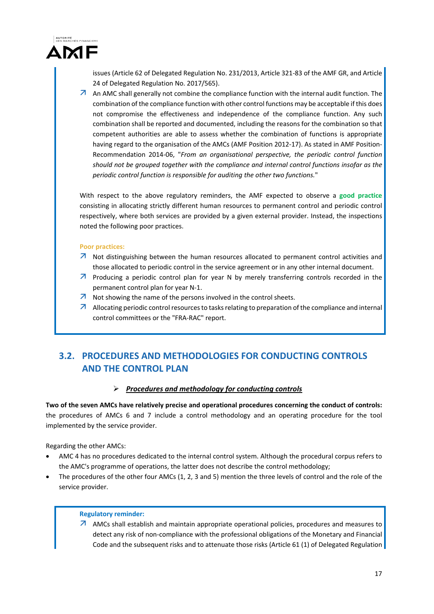

issues (Article 62 of Delegated Regulation No. 231/2013, Article 321‐83 of the AMF GR, and Article 24 of Delegated Regulation No. 2017/565).

 $\overline{A}$  An AMC shall generally not combine the compliance function with the internal audit function. The combination of the compliance function with other control functions may be acceptable if this does not compromise the effectiveness and independence of the compliance function. Any such combination shall be reported and documented, including the reasons for the combination so that competent authorities are able to assess whether the combination of functions is appropriate having regard to the organisation of the AMCs (AMF Position 2012-17). As stated in AMF Position-Recommendation 2014‐06, "*From an organisational perspective, the periodic control function should not be grouped together with the compliance and internal control functions insofar as the periodic control function is responsible for auditing the other two functions.*"

With respect to the above regulatory reminders, the AMF expected to observe a **good practice** consisting in allocating strictly different human resources to permanent control and periodic control respectively, where both services are provided by a given external provider. Instead, the inspections noted the following poor practices.

### **Poor practices:**

- $\overline{\phantom{a}}$  Not distinguishing between the human resources allocated to permanent control activities and those allocated to periodic control in the service agreement or in any other internal document.
- $\overline{A}$  Producing a periodic control plan for year N by merely transferring controls recorded in the permanent control plan for year N‐1.
- $\lambda$  Not showing the name of the persons involved in the control sheets.
- A Allocating periodic control resources to tasks relating to preparation of the compliance and internal control committees or the "FRA‐RAC" report.

# **3.2. PROCEDURES AND METHODOLOGIES FOR CONDUCTING CONTROLS AND THE CONTROL PLAN**

## *Procedures and methodology for conducting controls*

**Two of the seven AMCs have relatively precise and operational procedures concerning the conduct of controls:** the procedures of AMCs 6 and 7 include a control methodology and an operating procedure for the tool implemented by the service provider.

Regarding the other AMCs:

- AMC 4 has no procedures dedicated to the internal control system. Although the procedural corpus refers to the AMC's programme of operations, the latter does not describe the control methodology;
- The procedures of the other four AMCs (1, 2, 3 and 5) mention the three levels of control and the role of the service provider.

### **Regulatory reminder:**

 $\overline{A}$  AMCs shall establish and maintain appropriate operational policies, procedures and measures to detect any risk of non‐compliance with the professional obligations of the Monetary and Financial Code and the subsequent risks and to attenuate those risks (Article 61 (1) of Delegated Regulation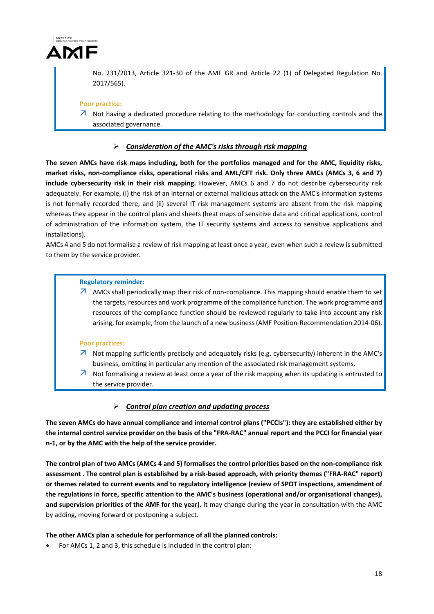

No. 231/2013, Article 321‐30 of the AMF GR and Article 22 (1) of Delegated Regulation No. 2017/565).

### **Poor practice:**

 $\overline{\phantom{a}}$  Not having a dedicated procedure relating to the methodology for conducting controls and the associated governance.

### *Consideration of the AMC's risks through risk mapping*

The seven AMCs have risk maps including, both for the portfolios managed and for the AMC, liquidity risks, market risks, non-compliance risks, operational risks and AML/CFT risk. Only three AMCs (AMCs 3, 6 and 7) **include cybersecurity risk in their risk mapping.** However, AMCs 6 and 7 do not describe cybersecurity risk adequately. For example, (i) the risk of an internal or external malicious attack on the AMC's information systems is not formally recorded there, and (ii) several IT risk management systems are absent from the risk mapping whereas they appear in the control plans and sheets (heat maps of sensitive data and critical applications, control of administration of the information system, the IT security systems and access to sensitive applications and installations).

AMCs 4 and 5 do not formalise a review of risk mapping at least once a year, even when such a review is submitted to them by the service provider.

### **Regulatory reminder:**

 $\overline{A}$  AMCs shall periodically map their risk of non-compliance. This mapping should enable them to set the targets, resources and work programme of the compliance function. The work programme and resources of the compliance function should be reviewed regularly to take into account any risk arising, for example, from the launch of a new business (AMF Position‐Recommendation 2014‐06).

#### **Poor practices:**

- $\overline{\phantom{a}}$  Not mapping sufficiently precisely and adequately risks (e.g. cybersecurity) inherent in the AMC's business, omitting in particular any mention of the associated risk management systems.
- $\overline{\phantom{a}}$  Not formalising a review at least once a year of the risk mapping when its updating is entrusted to the service provider.

### *Control plan creation and updating process*

The seven AMCs do have annual compliance and internal control plans ("PCCIs"): they are established either by the internal control service provider on the basis of the "FRA-RAC" annual report and the PCCI for financial year **n‐1, or by the AMC with the help of the service provider.**

The control plan of two AMCs (AMCs 4 and 5) formalises the control priorities based on the non-compliance risk assessment . The control plan is established by a risk-based approach, with priority themes ("FRA-RAC" report) **or themes related to current events and to regulatory intelligence (review of SPOT inspections, amendment of the regulations in force, specific attention to the AMC's business (operational and/or organisational changes), and supervision priorities of the AMF for the year).** It may change during the year in consultation with the AMC by adding, moving forward or postponing a subject.

### **The other AMCs plan a schedule for performance of all the planned controls:**

For AMCs 1, 2 and 3, this schedule is included in the control plan;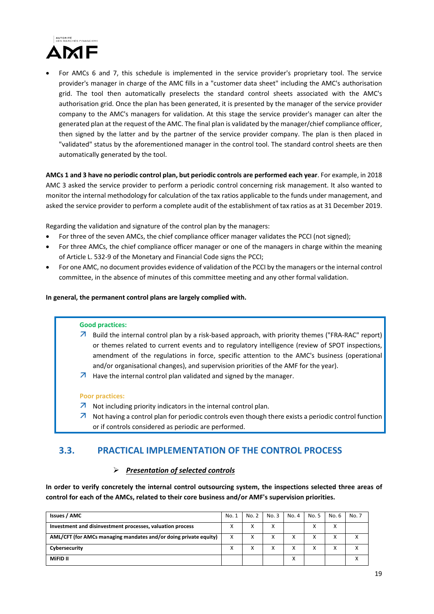

 For AMCs 6 and 7, this schedule is implemented in the service provider's proprietary tool. The service provider's manager in charge of the AMC fills in a "customer data sheet" including the AMC's authorisation grid. The tool then automatically preselects the standard control sheets associated with the AMC's authorisation grid. Once the plan has been generated, it is presented by the manager of the service provider company to the AMC's managers for validation. At this stage the service provider's manager can alter the generated plan at the request of the AMC. The final plan is validated by the manager/chief compliance officer, then signed by the latter and by the partner of the service provider company. The plan is then placed in "validated" status by the aforementioned manager in the control tool. The standard control sheets are then automatically generated by the tool.

**AMCs 1 and 3 have no periodic control plan, but periodic controls are performed each year**. For example, in 2018 AMC 3 asked the service provider to perform a periodic control concerning risk management. It also wanted to monitor the internal methodology for calculation of the tax ratios applicable to the funds under management, and asked the service provider to perform a complete audit of the establishment of tax ratios as at 31 December 2019.

Regarding the validation and signature of the control plan by the managers:

- For three of the seven AMCs, the chief compliance officer manager validates the PCCI (not signed);
- For three AMCs, the chief compliance officer manager or one of the managers in charge within the meaning of Article L. 532‐9 of the Monetary and Financial Code signs the PCCI;
- For one AMC, no document provides evidence of validation of the PCCI by the managers or the internal control committee, in the absence of minutes of this committee meeting and any other formal validation.

**In general, the permanent control plans are largely complied with.**

#### **Good practices:**

- 7 Build the internal control plan by a risk-based approach, with priority themes ("FRA-RAC" report) or themes related to current events and to regulatory intelligence (review of SPOT inspections, amendment of the regulations in force, specific attention to the AMC's business (operational and/or organisational changes), and supervision priorities of the AMF for the year).
- $\overline{\mathcal{A}}$  Have the internal control plan validated and signed by the manager.

#### **Poor practices:**

- $\overline{\mathcal{A}}$  Not including priority indicators in the internal control plan.
- $\overline{\mathcal{A}}$  Not having a control plan for periodic controls even though there exists a periodic control function or if controls considered as periodic are performed.

# **3.3. PRACTICAL IMPLEMENTATION OF THE CONTROL PROCESS**

### *Presentation of selected controls*

**In order to verify concretely the internal control outsourcing system, the inspections selected three areas of control for each of the AMCs, related to their core business and/or AMF's supervision priorities.**

| <b>Issues / AMC</b>                                              | No. 1 | No. 2             | No. 3             | No. 4        | No. 5 | No. 6 | No. 7 |
|------------------------------------------------------------------|-------|-------------------|-------------------|--------------|-------|-------|-------|
| Investment and disinvestment processes, valuation process        |       | $\checkmark$<br>∧ | $\checkmark$<br>∧ |              | Χ     | ∧     |       |
| AML/CFT (for AMCs managing mandates and/or doing private equity) |       | x                 |                   | х            | х     |       |       |
| Cybersecurity                                                    |       | v                 | x                 | X            | X     |       |       |
| MiFID II                                                         |       |                   |                   | $\cdot$<br>⋏ |       |       |       |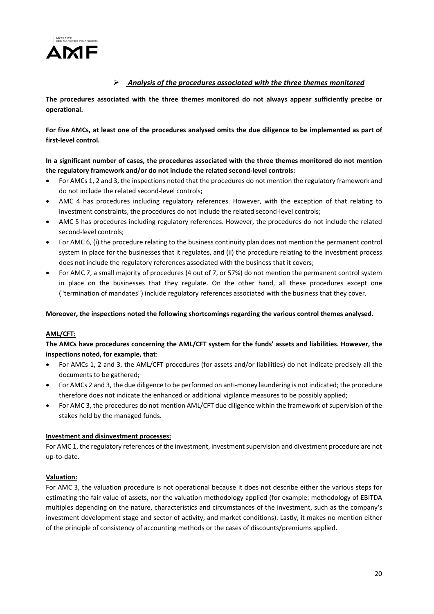

# *Analysis of the procedures associated with the three themes monitored*

**The procedures associated with the three themes monitored do not always appear sufficiently precise or operational.** 

For five AMCs, at least one of the procedures analysed omits the due diligence to be implemented as part of **first‐level control.**

In a significant number of cases, the procedures associated with the three themes monitored do not mention **the regulatory framework and/or do not include the related second‐level controls:**

- For AMCs 1, 2 and 3, the inspections noted that the procedures do not mention the regulatory framework and do not include the related second‐level controls;
- AMC 4 has procedures including regulatory references. However, with the exception of that relating to investment constraints, the procedures do not include the related second-level controls;
- AMC 5 has procedures including regulatory references. However, the procedures do not include the related second‐level controls;
- For AMC 6, (i) the procedure relating to the business continuity plan does not mention the permanent control system in place for the businesses that it regulates, and (ii) the procedure relating to the investment process does not include the regulatory references associated with the business that it covers;
- For AMC 7, a small majority of procedures (4 out of 7, or 57%) do not mention the permanent control system in place on the businesses that they regulate. On the other hand, all these procedures except one ("termination of mandates") include regulatory references associated with the business that they cover.

### **Moreover, the inspections noted the following shortcomings regarding the various control themes analysed.**

### **AML/CFT:**

**The AMCs have procedures concerning the AML/CFT system for the funds' assets and liabilities. However, the inspections noted, for example, that**:

- For AMCs 1, 2 and 3, the AML/CFT procedures (for assets and/or liabilities) do not indicate precisely all the documents to be gathered;
- For AMCs 2 and 3, the due diligence to be performed on anti-money laundering is not indicated; the procedure therefore does not indicate the enhanced or additional vigilance measures to be possibly applied;
- For AMC 3, the procedures do not mention AML/CFT due diligence within the framework of supervision of the stakes held by the managed funds.

### **Investment and disinvestment processes:**

For AMC 1, the regulatory references of the investment, investment supervision and divestment procedure are not up‐to‐date.

### **Valuation:**

For AMC 3, the valuation procedure is not operational because it does not describe either the various steps for estimating the fair value of assets, nor the valuation methodology applied (for example: methodology of EBITDA multiples depending on the nature, characteristics and circumstances of the investment, such as the company's investment development stage and sector of activity, and market conditions). Lastly, it makes no mention either of the principle of consistency of accounting methods or the cases of discounts/premiums applied.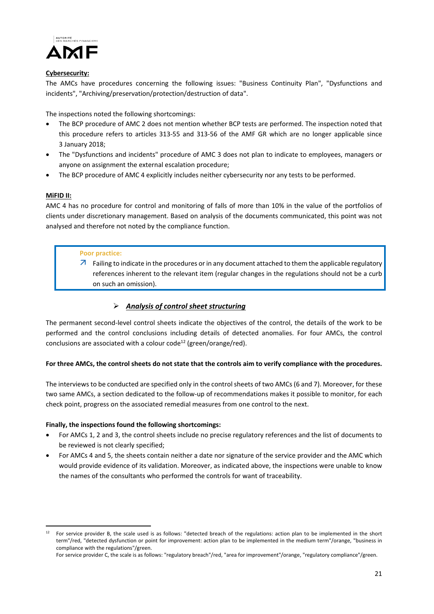

### **Cybersecurity:**

The AMCs have procedures concerning the following issues: "Business Continuity Plan", "Dysfunctions and incidents", "Archiving/preservation/protection/destruction of data".

The inspections noted the following shortcomings:

- The BCP procedure of AMC 2 does not mention whether BCP tests are performed. The inspection noted that this procedure refers to articles 313‐55 and 313‐56 of the AMF GR which are no longer applicable since 3 January 2018;
- The "Dysfunctions and incidents" procedure of AMC 3 does not plan to indicate to employees, managers or anyone on assignment the external escalation procedure;
- The BCP procedure of AMC 4 explicitly includes neither cybersecurity nor any tests to be performed.

### **MiFID II:**

1

AMC 4 has no procedure for control and monitoring of falls of more than 10% in the value of the portfolios of clients under discretionary management. Based on analysis of the documents communicated, this point was not analysed and therefore not noted by the compliance function.

### **Poor practice:**

 $\overline{\phantom{a}}$  Failing to indicate in the procedures or in any document attached to them the applicable regulatory references inherent to the relevant item (regular changes in the regulations should not be a curb on such an omission).

## *Analysis of control sheet structuring*

The permanent second-level control sheets indicate the objectives of the control, the details of the work to be performed and the control conclusions including details of detected anomalies. For four AMCs, the control conclusions are associated with a colour code<sup>12</sup> (green/orange/red).

### For three AMCs, the control sheets do not state that the controls aim to verify compliance with the procedures.

The interviews to be conducted are specified only in the control sheets of two AMCs (6 and 7). Moreover, for these two same AMCs, a section dedicated to the follow-up of recommendations makes it possible to monitor, for each check point, progress on the associated remedial measures from one control to the next.

### **Finally, the inspections found the following shortcomings:**

- For AMCs 1, 2 and 3, the control sheets include no precise regulatory references and the list of documents to be reviewed is not clearly specified;
- For AMCs 4 and 5, the sheets contain neither a date nor signature of the service provider and the AMC which would provide evidence of its validation. Moreover, as indicated above, the inspections were unable to know the names of the consultants who performed the controls for want of traceability.

 $12$  For service provider B, the scale used is as follows: "detected breach of the regulations: action plan to be implemented in the short term"/red, "detected dysfunction or point for improvement: action plan to be implemented in the medium term"/orange, "business in compliance with the regulations"/green.

For service provider C, the scale is as follows: "regulatory breach"/red, "area for improvement"/orange, "regulatory compliance"/green.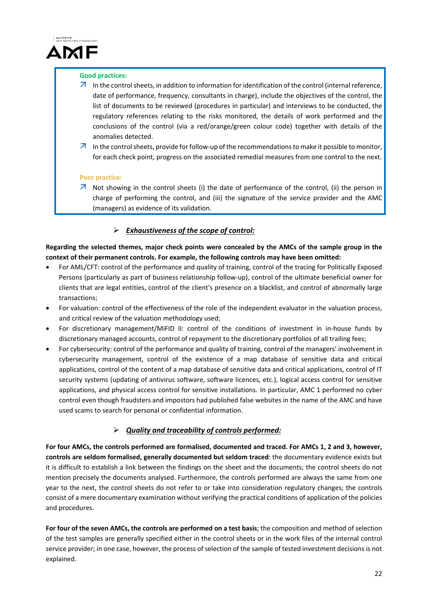

### **Good practices:**

- $\overline{\phantom{a}}$  In the control sheets, in addition to information for identification of the control (internal reference, date of performance, frequency, consultants in charge), include the objectives of the control, the list of documents to be reviewed (procedures in particular) and interviews to be conducted, the regulatory references relating to the risks monitored, the details of work performed and the conclusions of the control (via a red/orange/green colour code) together with details of the anomalies detected.
- $\overline{A}$  In the control sheets, provide for follow-up of the recommendations to make it possible to monitor, for each check point, progress on the associated remedial measures from one control to the next.

### **Poor practice:**

 $\overline{\phantom{a}}$  Not showing in the control sheets (i) the date of performance of the control, (ii) the person in charge of performing the control, and (iii) the signature of the service provider and the AMC (managers) as evidence of its validation.

# *Exhaustiveness of the scope of control:*

Regarding the selected themes, major check points were concealed by the AMCs of the sample group in the **context of their permanent controls. For example, the following controls may have been omitted:**

- For AML/CFT: control of the performance and quality of training, control of the tracing for Politically Exposed Persons (particularly as part of business relationship follow‐up), control of the ultimate beneficial owner for clients that are legal entities, control of the client's presence on a blacklist, and control of abnormally large transactions;
- For valuation: control of the effectiveness of the role of the independent evaluator in the valuation process, and critical review of the valuation methodology used;
- For discretionary management/MiFID II: control of the conditions of investment in in-house funds by discretionary managed accounts, control of repayment to the discretionary portfolios of all trailing fees;
- For cybersecurity: control of the performance and quality of training, control of the managers' involvement in cybersecurity management, control of the existence of a map database of sensitive data and critical applications, control of the content of a map database of sensitive data and critical applications, control of IT security systems (updating of antivirus software, software licences, etc.), logical access control for sensitive applications, and physical access control for sensitive installations. In particular, AMC 1 performed no cyber control even though fraudsters and impostors had published false websites in the name of the AMC and have used scams to search for personal or confidential information.

# *Quality and traceability of controls performed:*

For four AMCs, the controls performed are formalised, documented and traced. For AMCs 1, 2 and 3, however, **controls are seldom formalised, generally documented but seldom traced**: the documentary evidence exists but it is difficult to establish a link between the findings on the sheet and the documents; the control sheets do not mention precisely the documents analysed. Furthermore, the controls performed are always the same from one year to the next, the control sheets do not refer to or take into consideration regulatory changes; the controls consist of a mere documentary examination without verifying the practical conditions of application of the policies and procedures.

**For four of the seven AMCs, the controls are performed on a test basis**; the composition and method of selection of the test samples are generally specified either in the control sheets or in the work files of the internal control service provider; in one case, however, the process of selection of the sample of tested investment decisions is not explained.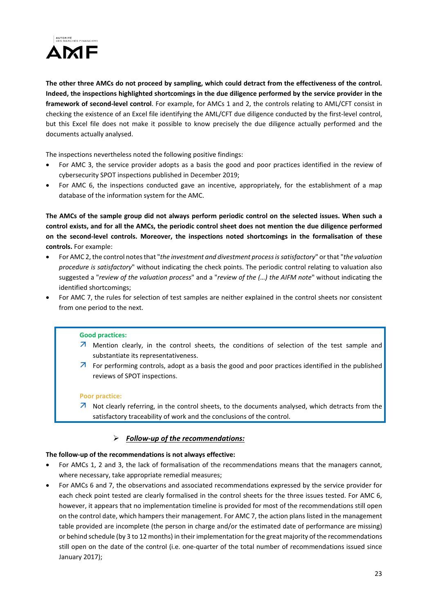

The other three AMCs do not proceed by sampling, which could detract from the effectiveness of the control. **Indeed, the inspections highlighted shortcomings in the due diligence performed by the service provider in the framework of second‐level control**. For example, for AMCs 1 and 2, the controls relating to AML/CFT consist in checking the existence of an Excel file identifying the AML/CFT due diligence conducted by the first-level control, but this Excel file does not make it possible to know precisely the due diligence actually performed and the documents actually analysed.

The inspections nevertheless noted the following positive findings:

- For AMC 3, the service provider adopts as a basis the good and poor practices identified in the review of cybersecurity SPOT inspections published in December 2019;
- For AMC 6, the inspections conducted gave an incentive, appropriately, for the establishment of a map database of the information system for the AMC.

The AMCs of the sample group did not always perform periodic control on the selected issues. When such a control exists, and for all the AMCs, the periodic control sheet does not mention the due diligence performed **on the second‐level controls. Moreover, the inspections noted shortcomings in the formalisation of these controls.** For example:

- For AMC 2, the control notesthat "*the investment and divestment processissatisfactory*" orthat "*the valuation procedure is satisfactory*" without indicating the check points. The periodic control relating to valuation also suggested a "*review of the valuation process*" and a "*review of the (…) the AIFM note*" without indicating the identified shortcomings;
- For AMC 7, the rules for selection of test samples are neither explained in the control sheets nor consistent from one period to the next.

### **Good practices:**

- $\overline{\mathcal{A}}$  Mention clearly, in the control sheets, the conditions of selection of the test sample and substantiate its representativeness.
- $\overline{\mathcal{A}}$  For performing controls, adopt as a basis the good and poor practices identified in the published reviews of SPOT inspections.

#### **Poor practice:**

 $\overline{\mathcal{A}}$  Not clearly referring, in the control sheets, to the documents analysed, which detracts from the satisfactory traceability of work and the conclusions of the control.

### *Follow‐up of the recommendations:*

### **The follow‐up of the recommendations is not always effective:**

- For AMCs 1, 2 and 3, the lack of formalisation of the recommendations means that the managers cannot, where necessary, take appropriate remedial measures;
- For AMCs 6 and 7, the observations and associated recommendations expressed by the service provider for each check point tested are clearly formalised in the control sheets for the three issues tested. For AMC 6, however, it appears that no implementation timeline is provided for most of the recommendations still open on the control date, which hampers their management. For AMC 7, the action plans listed in the management table provided are incomplete (the person in charge and/or the estimated date of performance are missing) or behind schedule (by 3 to 12 months) in their implementation forthe great majority of the recommendations still open on the date of the control (i.e. one-quarter of the total number of recommendations issued since January 2017);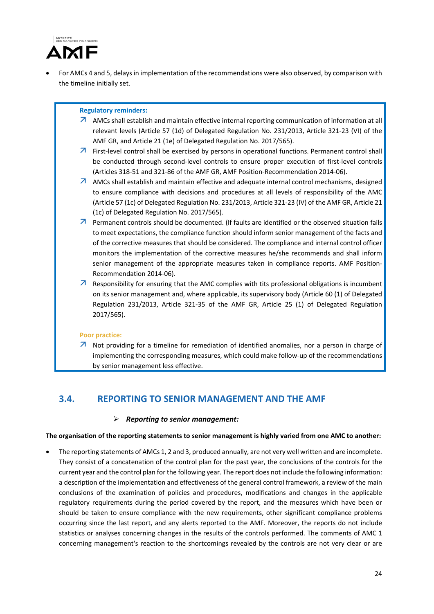

 For AMCs 4 and 5, delaysin implementation of the recommendations were also observed, by comparison with the timeline initially set.

### **Regulatory reminders:**

- AMCs shall establish and maintain effective internal reporting communication of information at all relevant levels (Article 57 (1d) of Delegated Regulation No. 231/2013, Article 321‐23 (VI) of the AMF GR, and Article 21 (1e) of Delegated Regulation No. 2017/565).
- $\overline{\mathcal{A}}$  First-level control shall be exercised by persons in operational functions. Permanent control shall be conducted through second-level controls to ensure proper execution of first-level controls (Articles 318‐51 and 321‐86 of the AMF GR, AMF Position‐Recommendation 2014‐06).
- $\overline{\phantom{a}}$  AMCs shall establish and maintain effective and adequate internal control mechanisms, designed to ensure compliance with decisions and procedures at all levels of responsibility of the AMC (Article 57 (1c) of Delegated Regulation No. 231/2013, Article 321‐23 (IV) of the AMF GR, Article 21 (1c) of Delegated Regulation No. 2017/565).
- $\overline{\phantom{a}}$  Permanent controls should be documented. (If faults are identified or the observed situation fails to meet expectations, the compliance function should inform senior management of the facts and of the corrective measures that should be considered. The compliance and internal control officer monitors the implementation of the corrective measures he/she recommends and shall inform senior management of the appropriate measures taken in compliance reports. AMF Position-Recommendation 2014‐06).
- $\overline{\mathcal{A}}$  Responsibility for ensuring that the AMC complies with tits professional obligations is incumbent on its senior management and, where applicable, its supervisory body (Article 60 (1) of Delegated Regulation 231/2013, Article 321‐35 of the AMF GR, Article 25 (1) of Delegated Regulation 2017/565).

### **Poor practice:**

 $\overline{\phantom{a}}$  Not providing for a timeline for remediation of identified anomalies, nor a person in charge of implementing the corresponding measures, which could make follow-up of the recommendations by senior management less effective.

# **3.4. REPORTING TO SENIOR MANAGEMENT AND THE AMF**

## *Reporting to senior management:*

### The organisation of the reporting statements to senior management is highly varied from one AMC to another:

 The reporting statements of AMCs 1, 2 and 3, produced annually, are not very well written and are incomplete. They consist of a concatenation of the control plan for the past year, the conclusions of the controls for the current year and the control plan for the following year. The report does not include the following information: a description of the implementation and effectiveness of the general control framework, a review of the main conclusions of the examination of policies and procedures, modifications and changes in the applicable regulatory requirements during the period covered by the report, and the measures which have been or should be taken to ensure compliance with the new requirements, other significant compliance problems occurring since the last report, and any alerts reported to the AMF. Moreover, the reports do not include statistics or analyses concerning changes in the results of the controls performed. The comments of AMC 1 concerning management's reaction to the shortcomings revealed by the controls are not very clear or are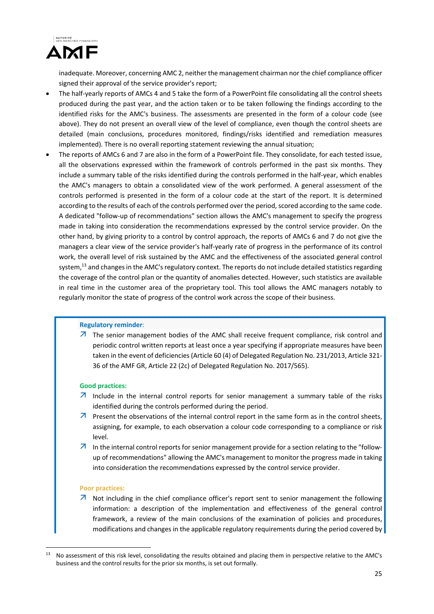

inadequate. Moreover, concerning AMC 2, neither the management chairman nor the chief compliance officer signed their approval of the service provider's report;

- The half‐yearly reports of AMCs 4 and 5 take the form of a PowerPoint file consolidating all the control sheets produced during the past year, and the action taken or to be taken following the findings according to the identified risks for the AMC's business. The assessments are presented in the form of a colour code (see above). They do not present an overall view of the level of compliance, even though the control sheets are detailed (main conclusions, procedures monitored, findings/risks identified and remediation measures implemented). There is no overall reporting statement reviewing the annual situation;
- The reports of AMCs 6 and 7 are also in the form of a PowerPoint file. They consolidate, for each tested issue, all the observations expressed within the framework of controls performed in the past six months. They include a summary table of the risks identified during the controls performed in the half‐year, which enables the AMC's managers to obtain a consolidated view of the work performed. A general assessment of the controls performed is presented in the form of a colour code at the start of the report. It is determined according to the results of each of the controls performed over the period, scored according to the same code. A dedicated "follow‐up of recommendations" section allows the AMC's management to specify the progress made in taking into consideration the recommendations expressed by the control service provider. On the other hand, by giving priority to a control by control approach, the reports of AMCs 6 and 7 do not give the managers a clear view of the service provider's half‐yearly rate of progress in the performance of its control work, the overall level of risk sustained by the AMC and the effectiveness of the associated general control system,<sup>13</sup> and changes in the AMC's regulatory context. The reports do not include detailed statistics regarding the coverage of the control plan or the quantity of anomalies detected. However, such statistics are available in real time in the customer area of the proprietary tool. This tool allows the AMC managers notably to regularly monitor the state of progress of the control work across the scope of their business.

#### **Regulatory reminder**:

 $\overline{\mathcal{A}}$  The senior management bodies of the AMC shall receive frequent compliance, risk control and periodic control written reports at least once a year specifying if appropriate measures have been taken in the event of deficiencies (Article 60 (4) of Delegated Regulation No. 231/2013, Article 321‐ 36 of the AMF GR, Article 22 (2c) of Delegated Regulation No. 2017/565).

### **Good practices:**

- $\overline{\mathcal{A}}$  Include in the internal control reports for senior management a summary table of the risks identified during the controls performed during the period.
- $\overline{A}$  Present the observations of the internal control report in the same form as in the control sheets, assigning, for example, to each observation a colour code corresponding to a compliance or risk level.
- $\overline{A}$  In the internal control reports for senior management provide for a section relating to the "followup of recommendations" allowing the AMC's management to monitor the progress made in taking into consideration the recommendations expressed by the control service provider.

#### **Poor practices:**

1

 $\overline{\phantom{a}}$  Not including in the chief compliance officer's report sent to senior management the following information: a description of the implementation and effectiveness of the general control framework, a review of the main conclusions of the examination of policies and procedures, modifications and changes in the applicable regulatory requirements during the period covered by

<sup>13</sup> No assessment of this risk level, consolidating the results obtained and placing them in perspective relative to the AMC's business and the control results for the prior six months, is set out formally.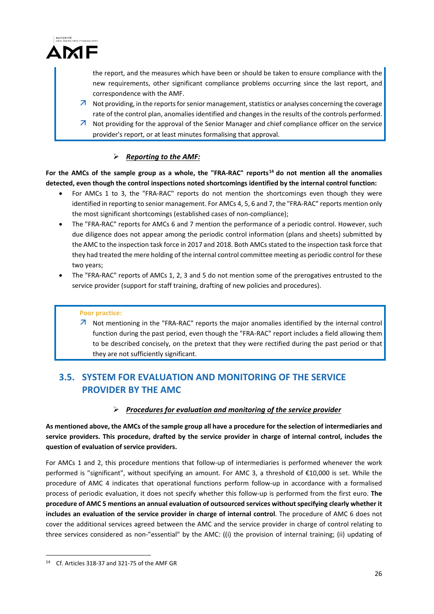

the report, and the measures which have been or should be taken to ensure compliance with the new requirements, other significant compliance problems occurring since the last report, and correspondence with the AMF.

- $\overline{\phantom{a}}$  Not providing, in the reports for senior management, statistics or analyses concerning the coverage rate of the control plan, anomalies identified and changes in the results of the controls performed.
- $\overline{\mathcal{A}}$  Not providing for the approval of the Senior Manager and chief compliance officer on the service provider's report, or at least minutes formalising that approval.

# *Reporting to the AMF:*

For the AMCs of the sample group as a whole, the "FRA-RAC" reports<sup>14</sup> do not mention all the anomalies **detected, even though the control inspections noted shortcomings identified by the internal control function:**

- For AMCs 1 to 3, the "FRA-RAC" reports do not mention the shortcomings even though they were identified in reporting to senior management. For AMCs 4, 5, 6 and 7, the "FRA-RAC" reports mention only the most significant shortcomings (established cases of non‐compliance);
- The "FRA-RAC" reports for AMCs 6 and 7 mention the performance of a periodic control. However, such due diligence does not appear among the periodic control information (plans and sheets) submitted by the AMC to the inspection task force in 2017 and 2018. Both AMCs stated to the inspection task force that they had treated the mere holding of the internal control committee meeting as periodic control for these two years;
- The "FRA-RAC" reports of AMCs 1, 2, 3 and 5 do not mention some of the prerogatives entrusted to the service provider (support for staff training, drafting of new policies and procedures).

## **Poor practice:**

 Not mentioning in the "FRA‐RAC" reports the major anomalies identified by the internal control function during the past period, even though the "FRA‐RAC" report includes a field allowing them to be described concisely, on the pretext that they were rectified during the past period or that they are not sufficiently significant.

# **3.5. SYSTEM FOR EVALUATION AND MONITORING OF THE SERVICE PROVIDER BY THE AMC**

# *Procedures for evaluation and monitoring of the service provider*

As mentioned above, the AMCs of the sample group all have a procedure for the selection of intermediaries and **service providers. This procedure, drafted by the service provider in charge of internal control, includes the question of evaluation of service providers.**

For AMCs 1 and 2, this procedure mentions that follow-up of intermediaries is performed whenever the work performed is "significant", without specifying an amount. For AMC 3, a threshold of €10,000 is set. While the procedure of AMC 4 indicates that operational functions perform follow‐up in accordance with a formalised process of periodic evaluation, it does not specify whether this follow‐up is performed from the first euro. **The procedure of AMC 5 mentions an annual evaluation of outsourced services without specifying clearly whether it includes an evaluation of the service provider in charge of internal control**. The procedure of AMC 6 does not cover the additional services agreed between the AMC and the service provider in charge of control relating to three services considered as non‐"essential" by the AMC: ((i) the provision of internal training; (ii) updating of

<u>.</u>

<sup>14</sup> Cf. Articles 318‐37 and 321‐75 of the AMF GR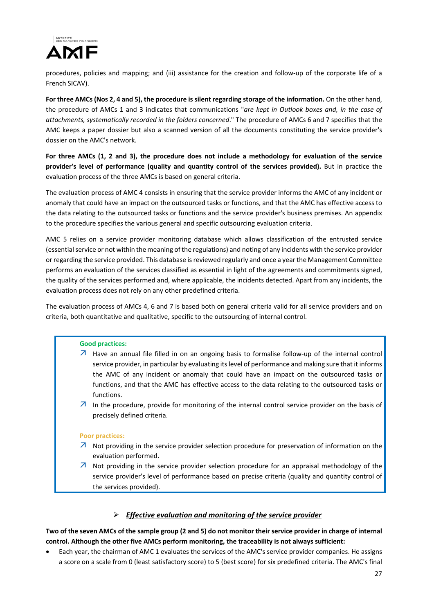

procedures, policies and mapping; and (iii) assistance for the creation and follow-up of the corporate life of a French SICAV).

For three AMCs (Nos 2, 4 and 5), the procedure is silent regarding storage of the information. On the other hand, the procedure of AMCs 1 and 3 indicates that communications "*are kept in Outlook boxes and, in the case of attachments, systematically recorded in the folders concerned*." The procedure of AMCs 6 and 7 specifies that the AMC keeps a paper dossier but also a scanned version of all the documents constituting the service provider's dossier on the AMC's network.

For three AMCs (1, 2 and 3), the procedure does not include a methodology for evaluation of the service **provider's level of performance (quality and quantity control of the services provided).** But in practice the evaluation process of the three AMCs is based on general criteria.

The evaluation process of AMC 4 consists in ensuring that the service provider informs the AMC of any incident or anomaly that could have an impact on the outsourced tasks or functions, and that the AMC has effective access to the data relating to the outsourced tasks or functions and the service provider's business premises. An appendix to the procedure specifies the various general and specific outsourcing evaluation criteria.

AMC 5 relies on a service provider monitoring database which allows classification of the entrusted service (essential service or not within the meaning of the regulations) and noting of any incidents with the service provider or regarding the service provided. This database isreviewed regularly and once a year the Management Committee performs an evaluation of the services classified as essential in light of the agreements and commitments signed, the quality of the services performed and, where applicable, the incidents detected. Apart from any incidents, the evaluation process does not rely on any other predefined criteria.

The evaluation process of AMCs 4, 6 and 7 is based both on general criteria valid for all service providers and on criteria, both quantitative and qualitative, specific to the outsourcing of internal control.

### **Good practices:**

- Have an annual file filled in on an ongoing basis to formalise follow‐up of the internal control service provider, in particular by evaluating itslevel of performance and making sure that it informs the AMC of any incident or anomaly that could have an impact on the outsourced tasks or functions, and that the AMC has effective access to the data relating to the outsourced tasks or functions.
- $\overline{\mathcal{A}}$  In the procedure, provide for monitoring of the internal control service provider on the basis of precisely defined criteria.

### **Poor practices:**

- $\overline{\mathcal{A}}$  Not providing in the service provider selection procedure for preservation of information on the evaluation performed.
- $\overline{\mathcal{A}}$  Not providing in the service provider selection procedure for an appraisal methodology of the service provider's level of performance based on precise criteria (quality and quantity control of the services provided).

### *Effective evaluation and monitoring of the service provider*

Two of the seven AMCs of the sample group (2 and 5) do not monitor their service provider in charge of internal **control. Although the other five AMCs perform monitoring, the traceability is not always sufficient:**

 Each year, the chairman of AMC 1 evaluates the services of the AMC's service provider companies. He assigns a score on a scale from 0 (least satisfactory score) to 5 (best score) for six predefined criteria. The AMC's final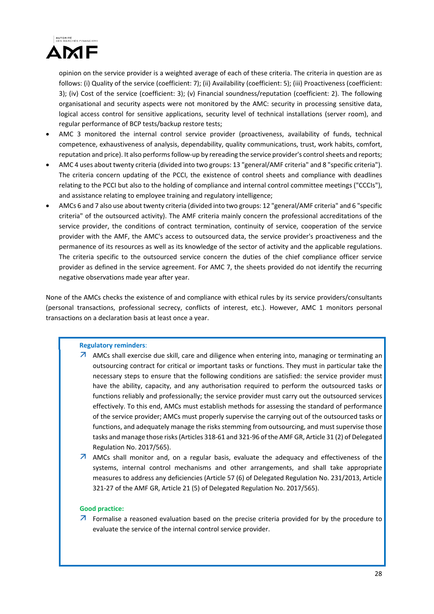

opinion on the service provider is a weighted average of each of these criteria. The criteria in question are as follows: (i) Quality of the service (coefficient: 7); (ii) Availability (coefficient: 5); (iii) Proactiveness (coefficient: 3); (iv) Cost of the service (coefficient: 3); (v) Financial soundness/reputation (coefficient: 2). The following organisational and security aspects were not monitored by the AMC: security in processing sensitive data, logical access control for sensitive applications, security level of technical installations (server room), and regular performance of BCP tests/backup restore tests;

- AMC 3 monitored the internal control service provider (proactiveness, availability of funds, technical competence, exhaustiveness of analysis, dependability, quality communications, trust, work habits, comfort, reputation and price). It also performs follow-up by rereading the service provider's control sheets and reports;
- AMC 4 uses about twenty criteria (divided into two groups: 13 "general/AMF criteria" and 8 "specific criteria"). The criteria concern updating of the PCCI, the existence of control sheets and compliance with deadlines relating to the PCCI but also to the holding of compliance and internal control committee meetings ("CCCIs"), and assistance relating to employee training and regulatory intelligence;
- AMCs 6 and 7 also use about twenty criteria (divided into two groups: 12 "general/AMF criteria" and 6 "specific criteria" of the outsourced activity). The AMF criteria mainly concern the professional accreditations of the service provider, the conditions of contract termination, continuity of service, cooperation of the service provider with the AMF, the AMC's access to outsourced data, the service provider's proactiveness and the permanence of its resources as well as its knowledge of the sector of activity and the applicable regulations. The criteria specific to the outsourced service concern the duties of the chief compliance officer service provider as defined in the service agreement. For AMC 7, the sheets provided do not identify the recurring negative observations made year after year.

None of the AMCs checks the existence of and compliance with ethical rules by its service providers/consultants (personal transactions, professional secrecy, conflicts of interest, etc.). However, AMC 1 monitors personal transactions on a declaration basis at least once a year.

### **Regulatory reminders**:

- $\overline{\phantom{a}}$  AMCs shall exercise due skill, care and diligence when entering into, managing or terminating an outsourcing contract for critical or important tasks or functions. They must in particular take the necessary steps to ensure that the following conditions are satisfied: the service provider must have the ability, capacity, and any authorisation required to perform the outsourced tasks or functions reliably and professionally; the service provider must carry out the outsourced services effectively. To this end, AMCs must establish methods for assessing the standard of performance of the service provider; AMCs must properly supervise the carrying out of the outsourced tasks or functions, and adequately manage the risks stemming from outsourcing, and mustsupervise those tasks and manage those risks(Articles 318‐61 and 321‐96 of the AMF GR, Article 31 (2) of Delegated Regulation No. 2017/565).
- **AMCs** shall monitor and, on a regular basis, evaluate the adequacy and effectiveness of the systems, internal control mechanisms and other arrangements, and shall take appropriate measures to address any deficiencies (Article 57 (6) of Delegated Regulation No. 231/2013, Article 321‐27 of the AMF GR, Article 21 (5) of Delegated Regulation No. 2017/565).

#### **Good practice:**

 $\overline{\phantom{a}}$  Formalise a reasoned evaluation based on the precise criteria provided for by the procedure to evaluate the service of the internal control service provider.